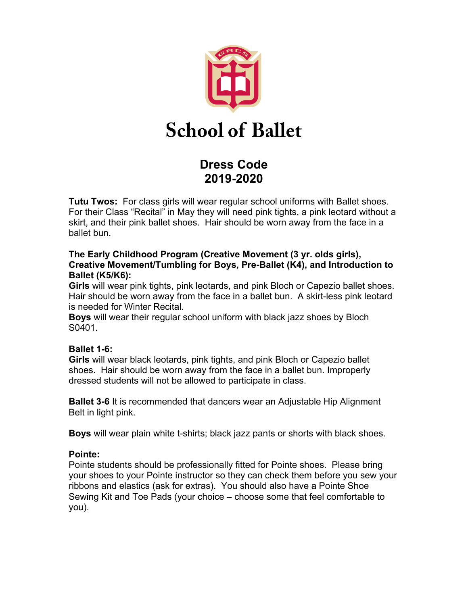

# **Dress Code 2019-2020**

**Tutu Twos:** For class girls will wear regular school uniforms with Ballet shoes. For their Class "Recital" in May they will need pink tights, a pink leotard without a skirt, and their pink ballet shoes. Hair should be worn away from the face in a ballet bun.

## **The Early Childhood Program (Creative Movement (3 yr. olds girls), Creative Movement/Tumbling for Boys, Pre-Ballet (K4), and Introduction to Ballet (K5/K6):**

**Girls** will wear pink tights, pink leotards, and pink Bloch or Capezio ballet shoes. Hair should be worn away from the face in a ballet bun. A skirt-less pink leotard is needed for Winter Recital.

**Boys** will wear their regular school uniform with black jazz shoes by Bloch S0401.

# **Ballet 1-6:**

**Girls** will wear black leotards, pink tights, and pink Bloch or Capezio ballet shoes. Hair should be worn away from the face in a ballet bun. Improperly dressed students will not be allowed to participate in class.

**Ballet 3-6** It is recommended that dancers wear an Adjustable Hip Alignment Belt in light pink.

**Boys** will wear plain white t-shirts; black jazz pants or shorts with black shoes.

# **Pointe:**

Pointe students should be professionally fitted for Pointe shoes. Please bring your shoes to your Pointe instructor so they can check them before you sew your ribbons and elastics (ask for extras). You should also have a Pointe Shoe Sewing Kit and Toe Pads (your choice – choose some that feel comfortable to you).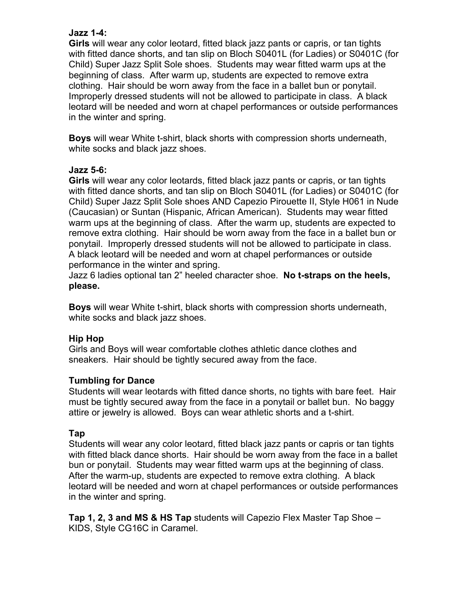## **Jazz 1-4:**

**Girls** will wear any color leotard, fitted black jazz pants or capris, or tan tights with fitted dance shorts, and tan slip on Bloch S0401L (for Ladies) or S0401C (for Child) Super Jazz Split Sole shoes. Students may wear fitted warm ups at the beginning of class. After warm up, students are expected to remove extra clothing. Hair should be worn away from the face in a ballet bun or ponytail. Improperly dressed students will not be allowed to participate in class. A black leotard will be needed and worn at chapel performances or outside performances in the winter and spring.

**Boys** will wear White t-shirt, black shorts with compression shorts underneath, white socks and black jazz shoes.

## **Jazz 5-6:**

**Girls** will wear any color leotards, fitted black jazz pants or capris, or tan tights with fitted dance shorts, and tan slip on Bloch S0401L (for Ladies) or S0401C (for Child) Super Jazz Split Sole shoes AND Capezio Pirouette II, Style H061 in Nude (Caucasian) or Suntan (Hispanic, African American). Students may wear fitted warm ups at the beginning of class. After the warm up, students are expected to remove extra clothing. Hair should be worn away from the face in a ballet bun or ponytail. Improperly dressed students will not be allowed to participate in class. A black leotard will be needed and worn at chapel performances or outside performance in the winter and spring.

Jazz 6 ladies optional tan 2" heeled character shoe. **No t-straps on the heels, please.** 

**Boys** will wear White t-shirt, black shorts with compression shorts underneath, white socks and black jazz shoes.

# **Hip Hop**

Girls and Boys will wear comfortable clothes athletic dance clothes and sneakers. Hair should be tightly secured away from the face.

# **Tumbling for Dance**

Students will wear leotards with fitted dance shorts, no tights with bare feet. Hair must be tightly secured away from the face in a ponytail or ballet bun. No baggy attire or jewelry is allowed. Boys can wear athletic shorts and a t-shirt.

#### **Tap**

Students will wear any color leotard, fitted black jazz pants or capris or tan tights with fitted black dance shorts. Hair should be worn away from the face in a ballet bun or ponytail. Students may wear fitted warm ups at the beginning of class. After the warm-up, students are expected to remove extra clothing. A black leotard will be needed and worn at chapel performances or outside performances in the winter and spring.

**Tap 1, 2, 3 and MS & HS Tap** students will Capezio Flex Master Tap Shoe – KIDS, Style CG16C in Caramel.